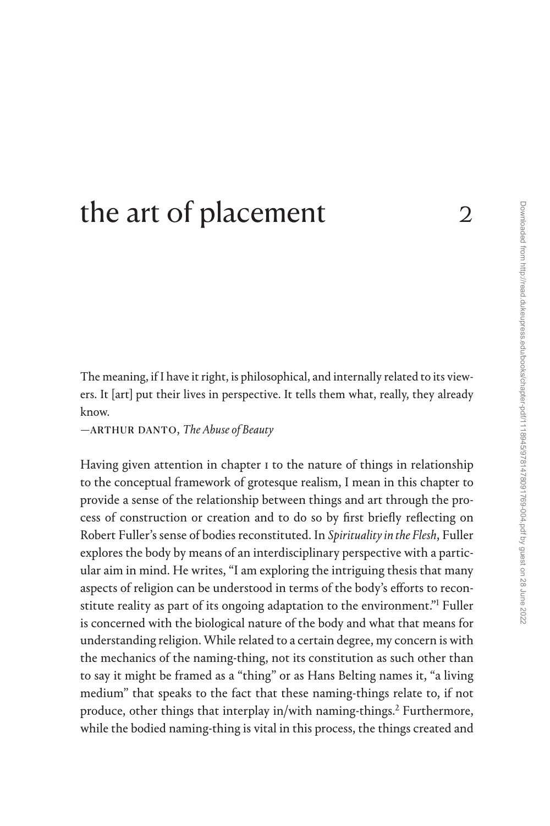## [the art of placement](#page--1-0)  $2\frac{2}{3}$

The meaning, if I have it right, is philosophical, and internally related to its viewers. It [art] put their lives in perspective. It tells them what, really, they already know.

—arthur danto, *The Abuse of Beauty*

Having given attention in chapter 1 to the nature of things in relationship to the conceptual framework of grotesque realism, I mean in this chapter to provide a sense of the relationship between things and art through the process of construction or creation and to do so by first briefly reflecting on Robert Fuller's sense of bodies reconstituted. In *Spirituality in the Flesh*, Fuller explores the body by means of an interdisciplinary perspective with a particular aim in mind. He writes, "I am exploring the intriguing thesis that many aspects of religion can be understood in terms of the body's efforts to reconstitute reality as part of its ongoing adaptation to the environment."[1](#page--1-0) Fuller is concerned with the biological nature of the body and what that means for understanding religion. While related to a certain degree, my concern is with the mechanics of the naming-thing, not its constitution as such other than to say it might be framed as a "thing" or as Hans Belting names it, "a living medium" that speaks to the fact that these naming-things relate to, if not produce, other things that interplay in/with naming-things.<sup>2</sup> Furthermore, while the bodied naming-thing is vital in this process, the things created and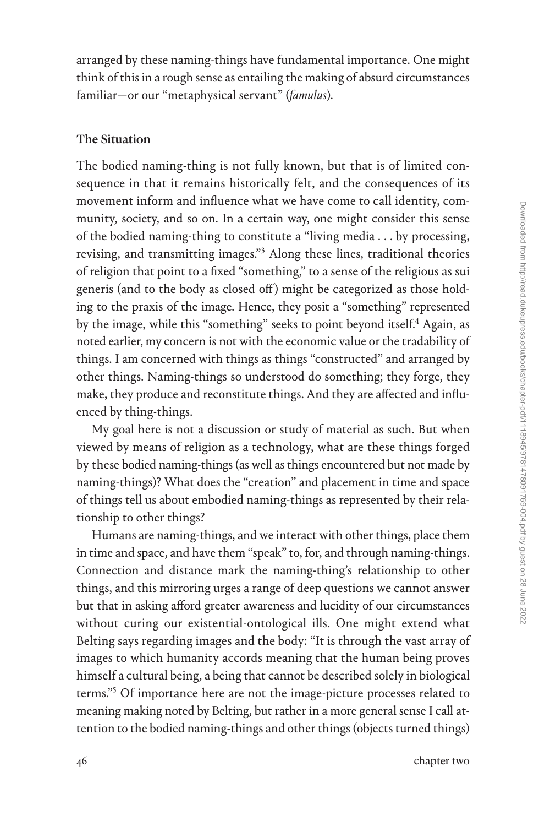arranged by these naming-things have fundamental importance. One might think of this in a rough sense as entailing the making of absurd circumstances familiar—or our "metaphysical servant" (*famulus*).

## The Situation

The bodied naming-thing is not fully known, but that is of limited consequence in that it remains historically felt, and the consequences of its movement inform and influence what we have come to call identity, community, society, and so on. In a certain way, one might consider this sense of the bodied naming-thing to constitute a "living media . . . by processing, revising, and transmitting images."[3](#page--1-0) Along these lines, traditional theories of religion that point to a fixed "something," to a sense of the religious as sui generis (and to the body as closed off ) might be categorized as those holding to the praxis of the image. Hence, they posit a "something" represented by the image, while this "something" seeks to point beyond itself[.4](#page--1-0) Again, as noted earlier, my concern is not with the economic value or the tradability of things. I am concerned with things as things "constructed" and arranged by other things. Naming-things so understood do something; they forge, they make, they produce and reconstitute things. And they are affected and influenced by thing-things.

My goal here is not a discussion or study of material as such. But when viewed by means of religion as a technology, what are these things forged by these bodied naming-things (as well as things encountered but not made by naming-things)? What does the "creation" and placement in time and space of things tell us about embodied naming-things as represented by their relationship to other things?

Humans are naming-things, and we interact with other things, place them in time and space, and have them "speak" to, for, and through naming-things. Connection and distance mark the naming-thing's relationship to other things, and this mirroring urges a range of deep questions we cannot answer but that in asking afford greater awareness and lucidity of our circumstances without curing our existential-ontological ills. One might extend what Belting says regarding images and the body: "It is through the vast array of images to which humanity accords meaning that the human being proves himself a cultural being, a being that cannot be described solely in biological terms."[5](#page--1-0) Of importance here are not the image-picture processes related to meaning making noted by Belting, but rather in a more general sense I call attention to the bodied naming-things and other things (objects turned things)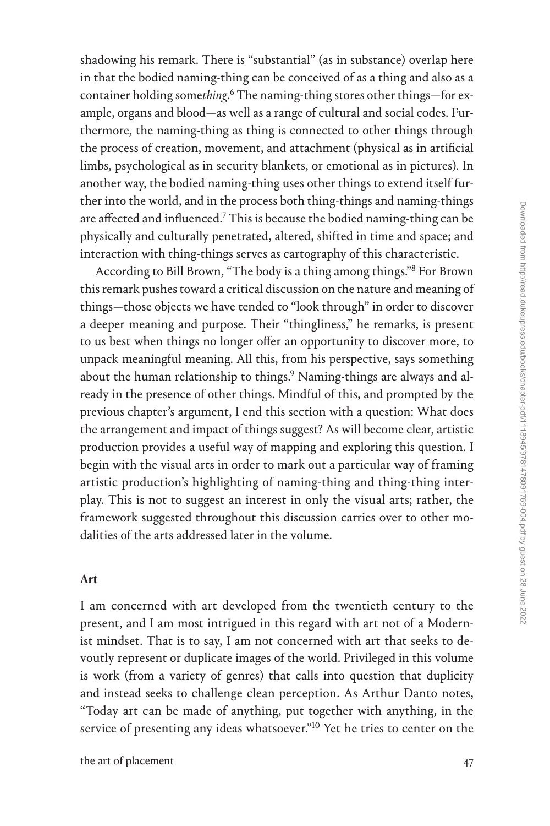shadowing his remark. There is "substantial" (as in substance) overlap here in that the bodied naming-thing can be conceived of as a thing and also as a container holding some*thing*. [6](#page--1-0) The naming-thing stores other things—for example, organs and blood—as well as a range of cultural and social codes. Furthermore, the naming-thing as thing is connected to other things through the process of creation, movement, and attachment (physical as in artificial limbs, psychological as in security blankets, or emotional as in pictures). In another way, the bodied naming-thing uses other things to extend itself further into the world, and in the process both thing-things and naming-things are affected and influenced.[7](#page--1-0) This is because the bodied naming-thing can be physically and culturally penetrated, altered, shifted in time and space; and interaction with thing-things serves as cartography of this characteristic.

According to Bill Brown, "The body is a thing among things.["8](#page--1-0) For Brown this remark pushes toward a critical discussion on the nature and meaning of things—those objects we have tended to "look through" in order to discover a deeper meaning and purpose. Their "thingliness," he remarks, is present to us best when things no longer offer an opportunity to discover more, to unpack meaningful meaning. All this, from his perspective, says something about the human relationship to things.<sup>9</sup> Naming-things are always and already in the presence of other things. Mindful of this, and prompted by the previous chapter's argument, I end this section with a question: What does the arrangement and impact of things suggest? As will become clear, artistic production provides a useful way of mapping and exploring this question. I begin with the visual arts in order to mark out a particular way of framing artistic production's highlighting of naming-thing and thing-thing interplay. This is not to suggest an interest in only the visual arts; rather, the framework suggested throughout this discussion carries over to other modalities of the arts addressed later in the volume.

## Art

I am concerned with art developed from the twentieth century to the present, and I am most intrigued in this regard with art not of a Modernist mindset. That is to say, I am not concerned with art that seeks to devoutly represent or duplicate images of the world. Privileged in this volume is work (from a variety of genres) that calls into question that duplicity and instead seeks to challenge clean perception. As Arthur Danto notes, "Today art can be made of anything, put together with anything, in the service of presenting any ideas whatsoever."<sup>[10](#page--1-0)</sup> Yet he tries to center on the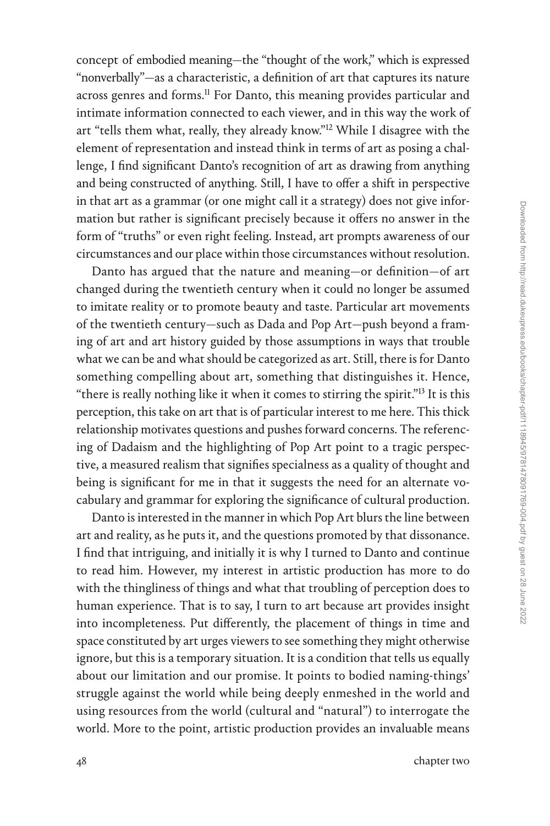concept of embodied meaning—the "thought of the work," which is expressed "nonverbally"—as a characteristic, a definition of art that captures its nature across genres and forms.<sup>[11](#page--1-0)</sup> For Danto, this meaning provides particular and intimate information connected to each viewer, and in this way the work of art "tells them what, really, they already know."[12](#page--1-0) While I disagree with the element of representation and instead think in terms of art as posing a challenge, I find significant Danto's recognition of art as drawing from anything and being constructed of anything. Still, I have to offer a shift in perspective in that art as a grammar (or one might call it a strategy) does not give information but rather is significant precisely because it offers no answer in the form of "truths" or even right feeling. Instead, art prompts awareness of our circumstances and our place within those circumstances without resolution.

Danto has argued that the nature and meaning—or definition—of art changed during the twentieth century when it could no longer be assumed to imitate reality or to promote beauty and taste. Particular art movements of the twentieth century—such as Dada and Pop Art—push beyond a framing of art and art history guided by those assumptions in ways that trouble what we can be and what should be categorized as art. Still, there is for Danto something compelling about art, something that distinguishes it. Hence, "there is really nothing like it when it comes to stirring the spirit."[13](#page--1-0) It is this perception, this take on art that is of particular interest to me here. This thick relationship motivates questions and pushes forward concerns. The referencing of Dadaism and the highlighting of Pop Art point to a tragic perspective, a measured realism that signifies specialness as a quality of thought and being is significant for me in that it suggests the need for an alternate vocabulary and grammar for exploring the significance of cultural production.

Danto is interested in the manner in which Pop Art blurs the line between art and reality, as he puts it, and the questions promoted by that dissonance. I find that intriguing, and initially it is why I turned to Danto and continue to read him. However, my interest in artistic production has more to do with the thingliness of things and what that troubling of perception does to human experience. That is to say, I turn to art because art provides insight into incompleteness. Put differently, the placement of things in time and space constituted by art urges viewers to see something they might otherwise ignore, but this is a temporary situation. It is a condition that tells us equally about our limitation and our promise. It points to bodied naming-things' struggle against the world while being deeply enmeshed in the world and using resources from the world (cultural and "natural") to interrogate the world. More to the point, artistic production provides an invaluable means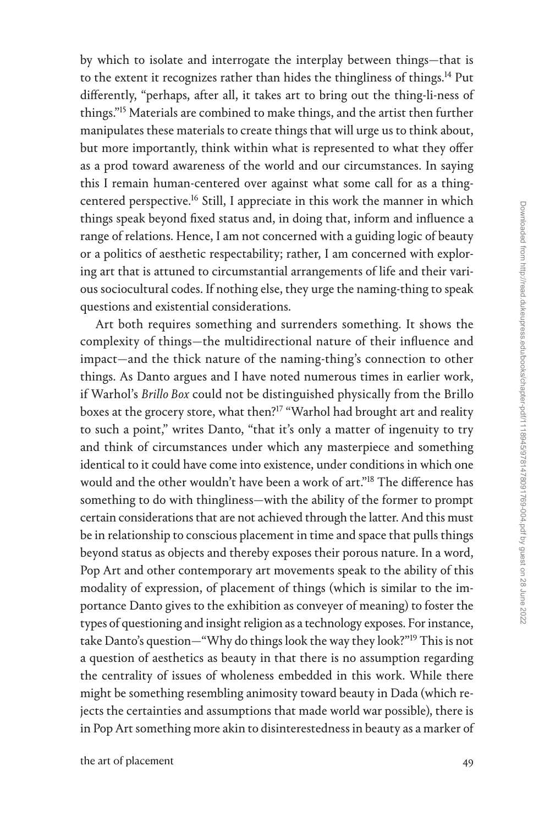by which to isolate and interrogate the interplay between things—that is to the extent it recognizes rather than hides the thingliness of things.<sup>14</sup> Put differently, "perhaps, after all, it takes art to bring out the thing-li-ness of things."[15](#page--1-0) Materials are combined to make things, and the artist then further manipulates these materials to create things that will urge us to think about, but more importantly, think within what is represented to what they offer as a prod toward awareness of the world and our circumstances. In saying this I remain human-centered over against what some call for as a thingcentered perspective[.16](#page--1-0) Still, I appreciate in this work the manner in which things speak beyond fixed status and, in doing that, inform and influence a range of relations. Hence, I am not concerned with a guiding logic of beauty or a politics of aesthetic respectability; rather, I am concerned with exploring art that is attuned to circumstantial arrangements of life and their various sociocultural codes. If nothing else, they urge the naming-thing to speak questions and existential considerations.

Art both requires something and surrenders something. It shows the complexity of things—the multidirectional nature of their influence and impact—and the thick nature of the naming-thing's connection to other things. As Danto argues and I have noted numerous times in earlier work, if Warhol's *Brillo Box* could not be distinguished physically from the Brillo boxes at the grocery store, what then?<sup>[17](#page--1-0)</sup> "Warhol had brought art and reality to such a point," writes Danto, "that it's only a matter of ingenuity to try and think of circumstances under which any masterpiece and something identical to it could have come into existence, under conditions in which one would and the other wouldn't have been a work of art.["18](#page--1-0) The difference has something to do with thingliness—with the ability of the former to prompt certain considerations that are not achieved through the latter. And this must be in relationship to conscious placement in time and space that pulls things beyond status as objects and thereby exposes their porous nature. In a word, Pop Art and other contemporary art movements speak to the ability of this modality of expression, of placement of things (which is similar to the importance Danto gives to the exhibition as conveyer of meaning) to foster the types of questioning and insight religion as a technology exposes. For instance, take Danto's question—"Why do things look the way they look?"[19](#page--1-0) This is not a question of aesthetics as beauty in that there is no assumption regarding the centrality of issues of wholeness embedded in this work. While there might be something resembling animosity toward beauty in Dada (which rejects the certainties and assumptions that made world war possible), there is in Pop Art something more akin to disinterestedness in beauty as a marker of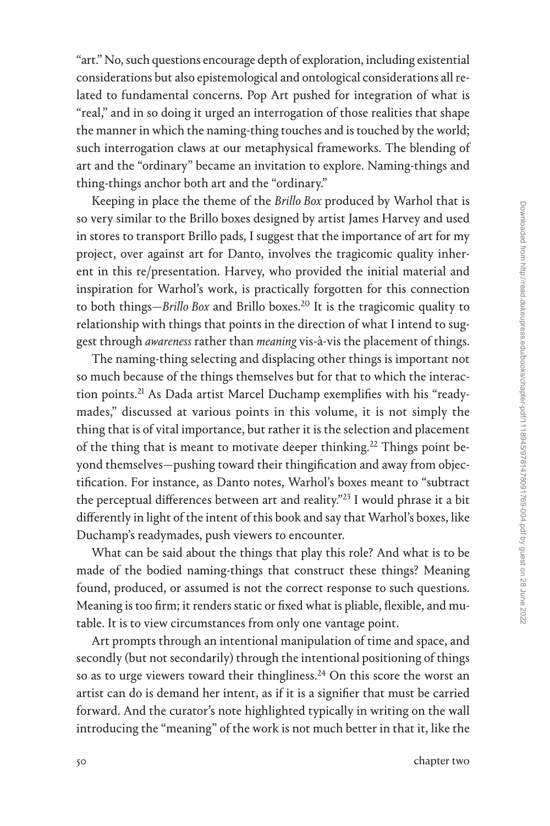"art." No, such questions encourage depth of exploration, including existential considerations but also epistemological and ontological considerations all related to fundamental concerns. Pop Art pushed for integration of what is "real," and in so doing it urged an interrogation of those realities that shape the manner in which the naming-thing touches and is touched by the world; such interrogation claws at our metaphysical frameworks. The blending of art and the "ordinary" became an invitation to explore. Naming-things and thing-things anchor both art and the "ordinary."

Keeping in place the theme of the *Brillo Box* produced by Warhol that is so very similar to the Brillo boxes designed by artist James Harvey and used in stores to transport Brillo pads, I suggest that the importance of art for my project, over against art for Danto, involves the tragicomic quality inherent in this re/presentation. Harvey, who provided the initial material and inspiration for Warhol's work, is practically forgotten for this connection to both things—*Brillo Box* and Brillo boxes[.20](#page--1-0) It is the tragicomic quality to relationship with things that points in the direction of what I intend to suggest through *awareness* rather than *meaning* vis-à-vis the placement of things.

The naming-thing selecting and displacing other things is important not so much because of the things themselves but for that to which the interac-tion points.<sup>[21](#page--1-0)</sup> As Dada artist Marcel Duchamp exemplifies with his "readymades," discussed at various points in this volume, it is not simply the thing that is of vital importance, but rather it is the selection and placement of the thing that is meant to motivate deeper thinking.<sup>22</sup> Things point beyond themselves—pushing toward their thingification and away from objectification. For instance, as Danto notes, Warhol's boxes meant to "subtract the perceptual differences between art and reality."<sup>23</sup> I would phrase it a bit differently in light of the intent of this book and say that Warhol's boxes, like Duchamp's readymades, push viewers to encounter.

What can be said about the things that play this role? And what is to be made of the bodied naming-things that construct these things? Meaning found, produced, or assumed is not the correct response to such questions. Meaning is too firm; it renders static or fixed what is pliable, flexible, and mutable. It is to view circumstances from only one vantage point.

Art prompts through an intentional manipulation of time and space, and secondly (but not secondarily) through the intentional positioning of things so as to urge viewers toward their thingliness.<sup>24</sup> On this score the worst an artist can do is demand her intent, as if it is a signifier that must be carried forward. And the curator's note highlighted typically in writing on the wall introducing the "meaning" of the work is not much better in that it, like the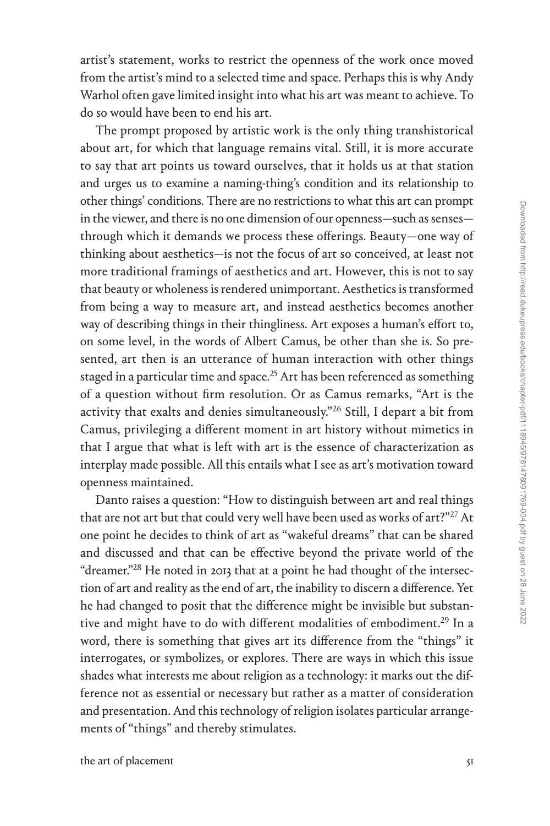artist's statement, works to restrict the openness of the work once moved from the artist's mind to a selected time and space. Perhaps this is why Andy Warhol often gave limited insight into what his art was meant to achieve. To do so would have been to end his art.

The prompt proposed by artistic work is the only thing transhistorical about art, for which that language remains vital. Still, it is more accurate to say that art points us toward ourselves, that it holds us at that station and urges us to examine a naming-thing's condition and its relationship to other things' conditions. There are no restrictions to what this art can prompt in the viewer, and there is no one dimension of our openness—such as senses through which it demands we process these offerings. Beauty—one way of thinking about aesthetics—is not the focus of art so conceived, at least not more traditional framings of aesthetics and art. However, this is not to say that beauty or wholeness is rendered unimportant. Aesthetics is transformed from being a way to measure art, and instead aesthetics becomes another way of describing things in their thingliness. Art exposes a human's effort to, on some level, in the words of Albert Camus, be other than she is. So presented, art then is an utterance of human interaction with other things staged in a particular time and space.<sup>25</sup> Art has been referenced as something of a question without firm resolution. Or as Camus remarks, "Art is the activity that exalts and denies simultaneously.["26](#page--1-0) Still, I depart a bit from Camus, privileging a different moment in art history without mimetics in that I argue that what is left with art is the essence of characterization as interplay made possible. All this entails what I see as art's motivation toward openness maintained.

Danto raises a question: "How to distinguish between art and real things that are not art but that could very well have been used as works of art?"<sup>27</sup> At one point he decides to think of art as "wakeful dreams" that can be shared and discussed and that can be effective beyond the private world of the "dreamer."[28](#page--1-0) He noted in 2013 that at a point he had thought of the intersection of art and reality as the end of art, the inability to discern a difference. Yet he had changed to posit that the difference might be invisible but substantive and might have to do with different modalities of embodiment.<sup>29</sup> In a word, there is something that gives art its difference from the "things" it interrogates, or symbolizes, or explores. There are ways in which this issue shades what interests me about religion as a technology: it marks out the difference not as essential or necessary but rather as a matter of consideration and presentation. And this technology of religion isolates particular arrangements of "things" and thereby stimulates.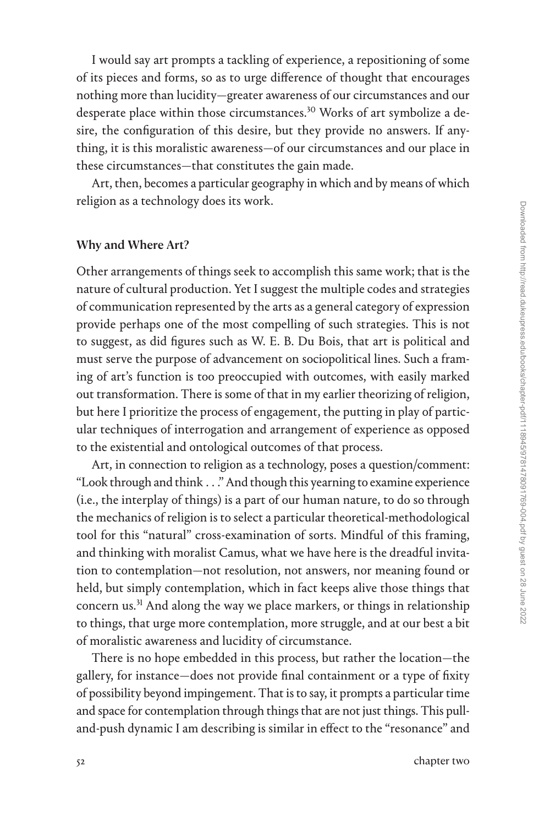I would say art prompts a tackling of experience, a repositioning of some of its pieces and forms, so as to urge difference of thought that encourages nothing more than lucidity—greater awareness of our circumstances and our desperate place within those circumstances.<sup>30</sup> Works of art symbolize a desire, the configuration of this desire, but they provide no answers. If anything, it is this moralistic awareness—of our circumstances and our place in these circumstances—that constitutes the gain made.

Art, then, becomes a particular geography in which and by means of which religion as a technology does its work.

## Why and Where Art?

Other arrangements of things seek to accomplish this same work; that is the nature of cultural production. Yet I suggest the multiple codes and strategies of communication represented by the arts as a general category of expression provide perhaps one of the most compelling of such strategies. This is not to suggest, as did figures such as W. E. B. Du Bois, that art is political and must serve the purpose of advancement on sociopolitical lines. Such a framing of art's function is too preoccupied with outcomes, with easily marked out transformation. There is some of that in my earlier theorizing of religion, but here I prioritize the process of engagement, the putting in play of particular techniques of interrogation and arrangement of experience as opposed to the existential and ontological outcomes of that process.

Art, in connection to religion as a technology, poses a question/comment: "Look through and think . . ." And though this yearning to examine experience (i.e., the interplay of things) is a part of our human nature, to do so through the mechanics of religion is to select a particular theoretical-methodological tool for this "natural" cross-examination of sorts. Mindful of this framing, and thinking with moralist Camus, what we have here is the dreadful invitation to contemplation—not resolution, not answers, nor meaning found or held, but simply contemplation, which in fact keeps alive those things that concern us.<sup>31</sup> And along the way we place markers, or things in relationship to things, that urge more contemplation, more struggle, and at our best a bit of moralistic awareness and lucidity of circumstance.

There is no hope embedded in this process, but rather the location—the gallery, for instance—does not provide final containment or a type of fixity of possibility beyond impingement. That is to say, it prompts a particular time and space for contemplation through things that are not just things. This pulland-push dynamic I am describing is similar in effect to the "resonance" and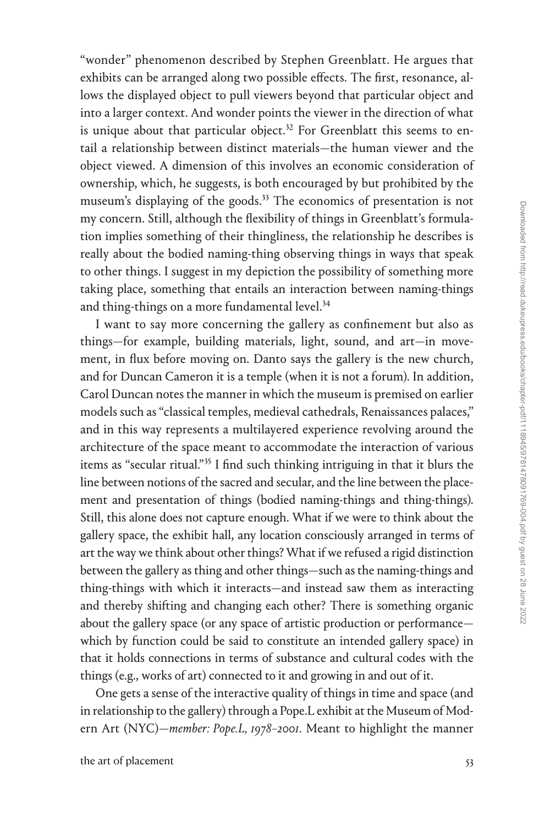"wonder" phenomenon described by Stephen Greenblatt. He argues that exhibits can be arranged along two possible effects. The first, resonance, allows the displayed object to pull viewers beyond that particular object and into a larger context. And wonder points the viewer in the direction of what is unique about that particular object.<sup>32</sup> For Greenblatt this seems to entail a relationship between distinct materials—the human viewer and the object viewed. A dimension of this involves an economic consideration of ownership, which, he suggests, is both encouraged by but prohibited by the museum's displaying of the goods.<sup>[33](#page--1-0)</sup> The economics of presentation is not my concern. Still, although the flexibility of things in Greenblatt's formulation implies something of their thingliness, the relationship he describes is really about the bodied naming-thing observing things in ways that speak to other things. I suggest in my depiction the possibility of something more taking place, something that entails an interaction between naming-things and thing-things on a more fundamental level.<sup>34</sup>

I want to say more concerning the gallery as confinement but also as things—for example, building materials, light, sound, and art—in movement, in flux before moving on. Danto says the gallery is the new church, and for Duncan Cameron it is a temple (when it is not a forum). In addition, Carol Duncan notes the manner in which the museum is premised on earlier models such as "classical temples, medieval cathedrals, Renaissances palaces," and in this way represents a multilayered experience revolving around the architecture of the space meant to accommodate the interaction of various items as "secular ritual.["35](#page--1-0) I find such thinking intriguing in that it blurs the line between notions of the sacred and secular, and the line between the placement and presentation of things (bodied naming-things and thing-things). Still, this alone does not capture enough. What if we were to think about the gallery space, the exhibit hall, any location consciously arranged in terms of art the way we think about other things? What if we refused a rigid distinction between the gallery as thing and other things—such as the naming-things and thing-things with which it interacts—and instead saw them as interacting and thereby shifting and changing each other? There is something organic about the gallery space (or any space of artistic production or performance which by function could be said to constitute an intended gallery space) in that it holds connections in terms of substance and cultural codes with the things (e.g., works of art) connected to it and growing in and out of it.

One gets a sense of the interactive quality of things in time and space (and in relationship to the gallery) through a Pope.L exhibit at the Museum of Modern Art (NYC)—*member: Pope.L, 1978–2001*. Meant to highlight the manner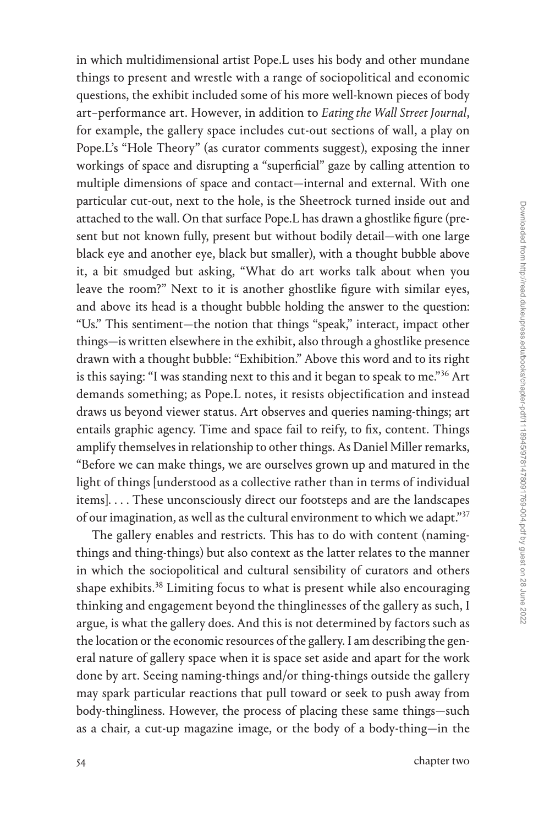in which multidimensional artist Pope.L uses his body and other mundane things to present and wrestle with a range of sociopolitical and economic questions, the exhibit included some of his more well-known pieces of body art–performance art. However, in addition to *Eating the Wall Street Journal*, for example, the gallery space includes cut-out sections of wall, a play on Pope.L's "Hole Theory" (as curator comments suggest), exposing the inner workings of space and disrupting a "superficial" gaze by calling attention to multiple dimensions of space and contact—internal and external. With one particular cut-out, next to the hole, is the Sheetrock turned inside out and attached to the wall. On that surface Pope.L has drawn a ghostlike figure (present but not known fully, present but without bodily detail—with one large black eye and another eye, black but smaller), with a thought bubble above it, a bit smudged but asking, "What do art works talk about when you leave the room?" Next to it is another ghostlike figure with similar eyes, and above its head is a thought bubble holding the answer to the question: "Us." This sentiment—the notion that things "speak," interact, impact other things—is written elsewhere in the exhibit, also through a ghostlike presence drawn with a thought bubble: "Exhibition." Above this word and to its right is this saying: "I was standing next to this and it began to speak to me."<sup>36</sup> Art demands something; as Pope.L notes, it resists objectification and instead draws us beyond viewer status. Art observes and queries naming-things; art entails graphic agency. Time and space fail to reify, to fix, content. Things amplify themselves in relationship to other things. As Daniel Miller remarks, "Before we can make things, we are ourselves grown up and matured in the light of things [understood as a collective rather than in terms of individual items]. . . . These unconsciously direct our footsteps and are the landscapes of our imagination, as well as the cultural environment to which we adapt."[37](#page--1-0)

The gallery enables and restricts. This has to do with content (namingthings and thing-things) but also context as the latter relates to the manner in which the sociopolitical and cultural sensibility of curators and others shape exhibits.<sup>[38](#page--1-0)</sup> Limiting focus to what is present while also encouraging thinking and engagement beyond the thinglinesses of the gallery as such, I argue, is what the gallery does. And this is not determined by factors such as the location or the economic resources of the gallery. I am describing the general nature of gallery space when it is space set aside and apart for the work done by art. Seeing naming-things and/or thing-things outside the gallery may spark particular reactions that pull toward or seek to push away from body-thingliness. However, the process of placing these same things—such as a chair, a cut-up magazine image, or the body of a body-thing—in the